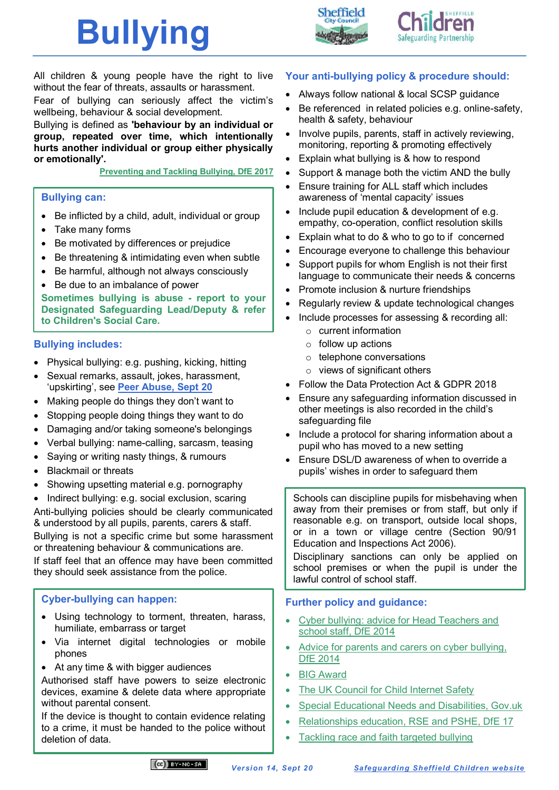





All children & young people have the right to live without the fear of threats, assaults or harassment.

Fear of bullying can seriously affect the victim's wellbeing, behaviour & social development.

Bullying is defined as **'behaviour by an individual or group, repeated over time, which intentionally hurts another individual or group either physically or emotionally'.**

**Preventing and [Tackling Bullying, DfE 2017](https://www.gov.uk/government/publications/preventing-and-tackling-bullying)**

#### **Bullying can:**

- Be inflicted by a child, adult, individual or group
- Take many forms
- Be motivated by differences or prejudice
- Be threatening & intimidating even when subtle
- Be harmful, although not always consciously
- Be due to an imbalance of power

**Sometimes bullying is abuse - report to your Designated Safeguarding Lead/Deputy & refer to Children's Social Care.**

## **Bullying includes:**

- Physical bullying: e.g. pushing, kicking, hitting
- Sexual remarks, assault, jokes, harassment, 'upskirting', see **[Peer Abuse, Sept 20](https://www.safeguardingsheffieldchildren.org/sscb/education/policies-procedures)**
- Making people do things they don't want to
- Stopping people doing things they want to do
- Damaging and/or taking someone's belongings
- Verbal bullying: name-calling, sarcasm, teasing
- Saying or writing nasty things, & rumours
- Blackmail or threats
- Showing upsetting material e.g. pornography
- Indirect bullying: e.g. social exclusion, scaring

Anti-bullying policies should be clearly communicated & understood by all pupils, parents, carers & staff.

Bullying is not a specific crime but some harassment or threatening behaviour & communications are.

If staff feel that an offence may have been committed they should seek assistance from the police.

## **Cyber-bullying can happen:**

- Using technology to torment, threaten, harass, humiliate, embarrass or target
- Via internet digital technologies or mobile phones
- At any time & with bigger audiences

Authorised staff have powers to seize electronic devices, examine & delete data where appropriate without parental consent.

If the device is thought to contain evidence relating to a crime, it must be handed to the police without deletion of data.

## **Your anti-bullying policy & procedure should:**

- Always follow national & local SCSP guidance
- Be referenced in related policies e.g. online-safety, health & safety, behaviour
- Involve pupils, parents, staff in actively reviewing, monitoring, reporting & promoting effectively
- Explain what bullying is & how to respond
- Support & manage both the victim AND the bully
- Ensure training for ALL staff which includes awareness of 'mental capacity' issues
- Include pupil education & development of e.g. empathy, co-operation, conflict resolution skills
- Explain what to do & who to go to if concerned
- Encourage everyone to challenge this behaviour
- Support pupils for whom English is not their first language to communicate their needs & concerns
- Promote inclusion & nurture friendships
- Regularly review & update technological changes
- Include processes for assessing & recording all:
	- o current information
	- $\circ$  follow up actions
	- o telephone conversations
	- o views of significant others
- Follow the Data Protection Act & GDPR 2018
- Ensure any safeguarding information discussed in other meetings is also recorded in the child's safeguarding file
- Include a protocol for sharing information about a pupil who has moved to a new setting
- Ensure DSL/D awareness of when to override a pupils' wishes in order to safeguard them

Schools can discipline pupils for misbehaving when away from their premises or from staff, but only if reasonable e.g. on transport, outside local shops, or in a town or village centre (Section 90/91 Education and Inspections Act 2006).

Disciplinary sanctions can only be applied on school premises or when the pupil is under the lawful control of school staff.

## **Further policy and guidance:**

- [Cyber bullying: advice for Head Teachers and](https://www.gov.uk/government/publications/preventing-and-tackling-bullying)  [school staff, DfE 2014](https://www.gov.uk/government/publications/preventing-and-tackling-bullying)
- [Advice for parents and carers on cyber bullying,](https://www.gov.uk/government/publications/preventing-and-tackling-bullying)  [DfE 2014](https://www.gov.uk/government/publications/preventing-and-tackling-bullying)
- [BIG Award](https://www.bullyinginterventiongroup.org/big-award)
- [The UK Council for Child Internet Safety](https://www.gov.uk/government/groups/uk-council-for-child-internet-safety-ukccis)
- [Special Educational Needs and Disabilities, Gov.uk](https://www.gov.uk/topic/schools-colleges-childrens-services/special-educational-needs-disabilities)
- [Relationships education, RSE and PSHE, DfE 17](https://www.gov.uk/government/publications/relationships-education-rse-and-pshe)
- [Tackling race and faith targeted bullying](https://www.gov.uk/government/publications/tackling-race-and-faith-targeted-bullying-face-to-face-and-online-a-guide-for-schools)